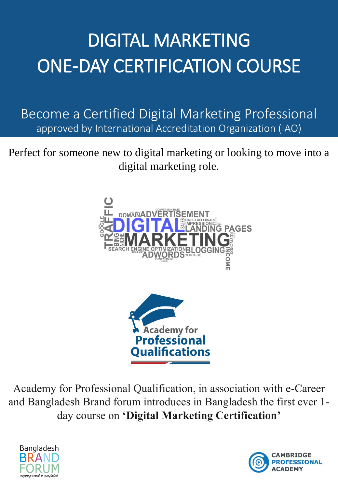# DIGITAL MARKETING ONE-DAY CERTIFICATION COURSE

Become a Certified Digital Marketing Professional approved by International Accreditation Organization (IAO)

Perfect for someone new to digital marketing or looking to move into a digital marketing role.



Academy for Professional Qualification, in association with e-Career and Bangladesh Brand forum introduces in Bangladesh the first ever 1 day course on 'Digital Marketing Certification'



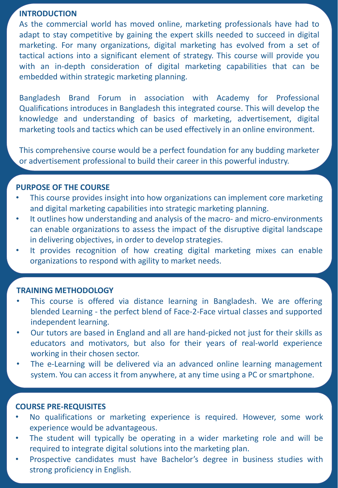#### **INTRODUCTION**

As the commercial world has moved online, marketing professionals have had to adapt to stay competitive by gaining the expert skills needed to succeed in digital marketing. For many organizations, digital marketing has evolved from a set of tactical actions into a significant element of strategy. This course will provide you with an in-depth consideration of digital marketing capabilities that can be embedded within strategic marketing planning.

Bangladesh Brand Forum in association with Academy for Professional Qualifications introduces in Bangladesh this integrated course. This will develop the knowledge and understanding of basics of marketing, advertisement, digital marketing tools and tactics which can be used effectively in an online environment.

This comprehensive course would be a perfect foundation for any budding marketer or advertisement professional to build their career in this powerful industry.

## **PURPOSE OF THE COURSE**

- This course provides insight into how organizations can implement core marketing and digital marketing capabilities into strategic marketing planning.
- It outlines how understanding and analysis of the macro- and micro-environments can enable organizations to assess the impact of the disruptive digital landscape in delivering objectives, in order to develop strategies.
- It provides recognition of how creating digital marketing mixes can enable organizations to respond with agility to market needs.

## **TRAINING METHODOLOGY**

- This course is offered via distance learning in Bangladesh. We are offering blended Learning - the perfect blend of Face-2-Face virtual classes and supported independent learning.
- Our tutors are based in England and all are hand-picked not just for their skills as educators and motivators, but also for their years of real-world experience working in their chosen sector.
- The e-Learning will be delivered via an advanced online learning management system. You can access it from anywhere, at any time using a PC or smartphone.

## **COURSE PRE-REQUISITES**

- No qualifications or marketing experience is required. However, some work experience would be advantageous.
- The student will typically be operating in a wider marketing role and will be required to integrate digital solutions into the marketing plan.
- Prospective candidates must have Bachelor's degree in business studies with strong proficiency in English.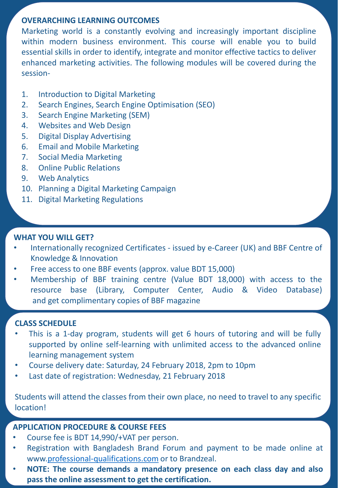# **OVERARCHING LEARNING OUTCOMES**

Marketing world is a constantly evolving and increasingly important discipline within modern business environment. This course will enable you to build essential skills in order to identify, integrate and monitor effective tactics to deliver enhanced marketing activities. The following modules will be covered during the session-

- 1. Introduction to Digital Marketing
- 2. Search Engines, Search Engine Optimisation (SEO)
- 3. Search Engine Marketing (SEM)
- 4. Websites and Web Design
- 5. Digital Display Advertising
- 6. Email and Mobile Marketing
- 7. Social Media Marketing
- 8. Online Public Relations
- 9. Web Analytics
- 10. Planning a Digital Marketing Campaign
- 11. Digital Marketing Regulations

# **WHAT YOU WILL GET?**

- Internationally recognized Certificates issued by e-Career (UK) and BBF Centre of Knowledge & Innovation
- Free access to one BBF events (approx. value BDT 15,000)
- Membership of BBF training centre (Value BDT 18,000) with access to the resource base (Library, Computer Center, Audio & Video Database) and get complimentary copies of BBF magazine

# **CLASS SCHEDULE**

- This is a 1-day program, students will get 6 hours of tutoring and will be fully supported by online self-learning with unlimited access to the advanced online learning management system
- Course delivery date: Saturday, 24 February 2018, 2pm to 10pm
- Last date of registration: Wednesday, 21 February 2018

Students will attend the classes from their own place, no need to travel to any specific location!

# **APPLICATION PROCEDURE & COURSE FEES**

- Course fee is BDT 14,990/+VAT per person.
- Registration with Bangladesh Brand Forum and payment to be made online at www.[professional-qualifications.com](https://professional-qualifications.com/) or to Brandzeal.
- **NOTE: The course demands a mandatory presence on each class day and also pass the online assessment to get the certification.**